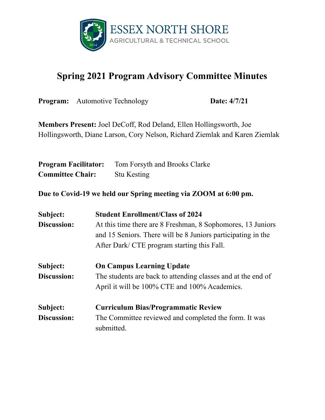

## **Spring 2021 Program Advisory Committee Minutes**

|                                                                                                                                                          | <b>Program:</b> Automotive Technology   | Date: 4/7/21                                                                                                                                                               |  |
|----------------------------------------------------------------------------------------------------------------------------------------------------------|-----------------------------------------|----------------------------------------------------------------------------------------------------------------------------------------------------------------------------|--|
| <b>Members Present:</b> Joel DeCoff, Rod Deland, Ellen Hollingsworth, Joe<br>Hollingsworth, Diane Larson, Cory Nelson, Richard Ziemlak and Karen Ziemlak |                                         |                                                                                                                                                                            |  |
| <b>Program Facilitator:</b><br><b>Committee Chair:</b>                                                                                                   | <b>Stu Kesting</b>                      | Tom Forsyth and Brooks Clarke                                                                                                                                              |  |
|                                                                                                                                                          |                                         | Due to Covid-19 we held our Spring meeting via ZOOM at 6:00 pm.                                                                                                            |  |
| Subject:<br>Discussion:                                                                                                                                  | <b>Student Enrollment/Class of 2024</b> | At this time there are 8 Freshman, 8 Sophomores, 13 Juniors<br>and 15 Seniors. There will be 8 Juniors participating in the<br>After Dark/ CTE program starting this Fall. |  |
| Subject:<br>Discussion:                                                                                                                                  | <b>On Campus Learning Update</b>        | The students are back to attending classes and at the end of<br>April it will be 100% CTE and 100% Academics.                                                              |  |

**Subject: Curriculum Bias/Programmatic Review Discussion:** The Committee reviewed and completed the form. It was submitted.